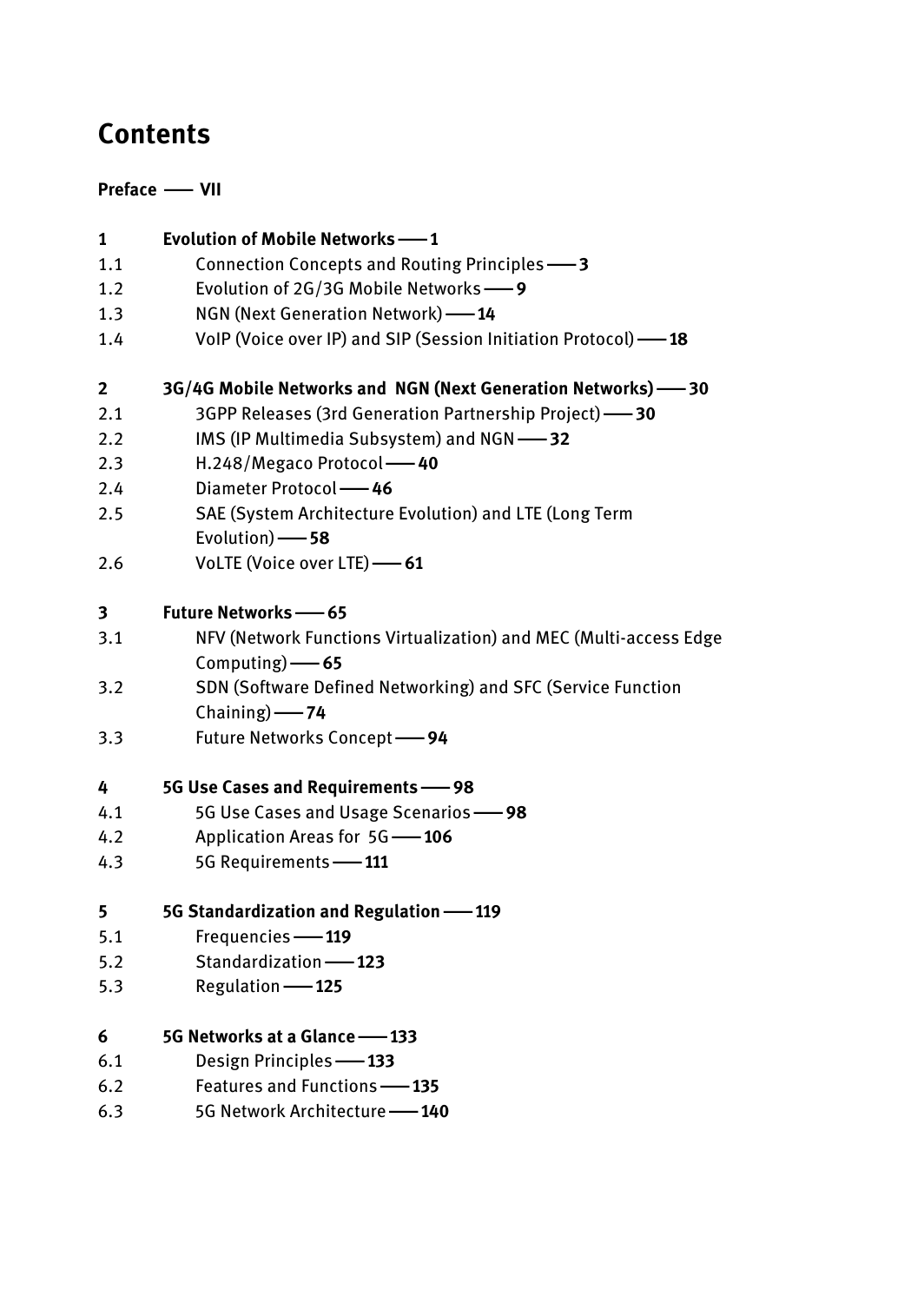# **Contents**

# **Preface** *<u></u>*

| 1            | <b>Evolution of Mobile Networks -- 1</b>                          |
|--------------|-------------------------------------------------------------------|
| 1.1          | Connection Concepts and Routing Principles -3                     |
| 1.2          | Evolution of 2G/3G Mobile Networks-9                              |
| 1.3          | NGN (Next Generation Network) -14                                 |
| 1.4          | VoIP (Voice over IP) and SIP (Session Initiation Protocol) -18    |
| $\mathbf{2}$ | 3G/4G Mobile Networks and NGN (Next Generation Networks) -80      |
| 2.1          | 3GPP Releases (3rd Generation Partnership Project) -30            |
| 2.2          | IMS (IP Multimedia Subsystem) and NGN-32                          |
| 2.3          | H.248/Megaco Protocol -40                                         |
| 2.4          | Diameter Protocol - 46                                            |
| 2.5          | SAE (System Architecture Evolution) and LTE (Long Term            |
|              | Evolution) -8                                                     |
| 2.6          | VoLTE (Voice over LTE) -61                                        |
| 3            | <b>Future Networks -65</b>                                        |
| 3.1          | NFV (Network Functions Virtualization) and MEC (Multi-access Edge |
|              | Computing) $-65$                                                  |
| 3.2          | SDN (Software Defined Networking) and SFC (Service Function       |
|              | Chaining) -24                                                     |
| 3.3          | Future Networks Concept -94                                       |
| 4            | 5G Use Cases and Requirements -98                                 |
| 4.1          | 5G Use Cases and Usage Scenarios -98                              |
| 4.2          | Application Areas for 5G -106                                     |
| 4.3          | 5G Requirements -111                                              |
| 5            | 5G Standardization and Regulation -119                            |
| 5.1          | Frequencies -119                                                  |
| 5.2          | Standardization-123                                               |
| 5.3          | Regulation -125                                                   |
| 6            | 5G Networks at a Glance -- 133                                    |
| 6.1          | Design Principles -133                                            |
| 6.2          | Features and Functions -135                                       |
| 6.3          | 5G Network Architecture -140                                      |